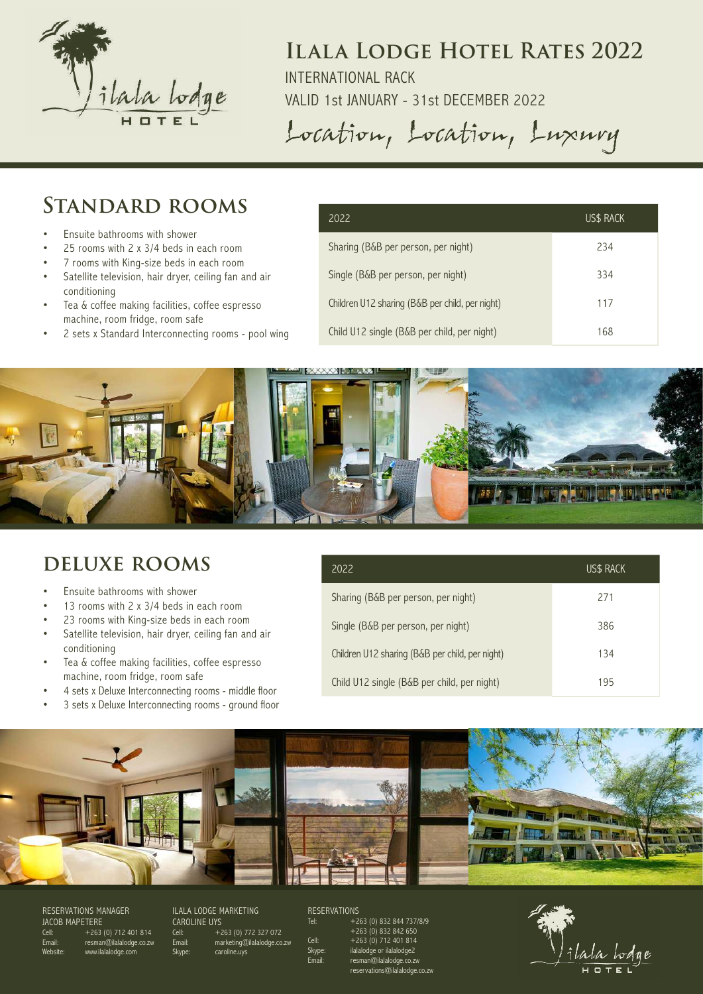

INTERNATIONAL RACK

VALID 1st JANUARY - 31st DECEMBER 2022

Location, Location, Luxury

## **Standard rooms**

- Ensuite bathrooms with shower
- 25 rooms with 2 x 3/4 beds in each room
- 7 rooms with King-size beds in each room
- Satellite television, hair dryer, ceiling fan and air conditioning
- Tea & coffee making facilities, coffee espresso machine, room fridge, room safe
- 2 sets x Standard Interconnecting rooms pool wing

| 2022                                            | US\$ RACK |
|-------------------------------------------------|-----------|
| Sharing (B&B per person, per night)             | 234       |
| Single (B&B per person, per night)              | 334       |
| Children U12 sharing (B&B per child, per night) | 117       |
| Child U12 single (B&B per child, per night)     | 168       |



## **deluxe rooms**

- Ensuite bathrooms with shower
- 13 rooms with 2 x 3/4 beds in each room
- 23 rooms with King-size beds in each room
- Satellite television, hair dryer, ceiling fan and air conditioning
- Tea & coffee making facilities, coffee espresso machine, room fridge, room safe
- 4 sets x Deluxe Interconnecting rooms middle floor
- 3 sets x Deluxe Interconnecting rooms ground floor

| 2022                                            | US\$ RACK |
|-------------------------------------------------|-----------|
| Sharing (B&B per person, per night)             | 271       |
| Single (B&B per person, per night)              | 386       |
| Children U12 sharing (B&B per child, per night) | 134       |
| Child U12 single (B&B per child, per night)     | 195       |



RESERVATIONS MANAGER JACOB MAPETERE Cell:  $+263 (0) 712 401 814$ resman@ilalalodge.co.zw ww.ilalalodge.com

ILALA LODGE MARKETING CAROLINE UYS Cell: +263 (0) 772 327 072 Email: marketing@ilalalodge.co.zw Skype: caroline.uvs

RESERVATIONS<br>Tel: +2

+263 (0) 832 844 737/8/9  $+263(0) 832 842 650$ <br>Cell:  $+263(0) 712401814$  $Cell:$   $+263 (0)$  712 401 814<br>Skype: ilalalodge or ilalalodge2 ilalalodge or ilalalodge2 Email: resman@ilalalodge.co.zw reservations@ilalalodge.co.zw

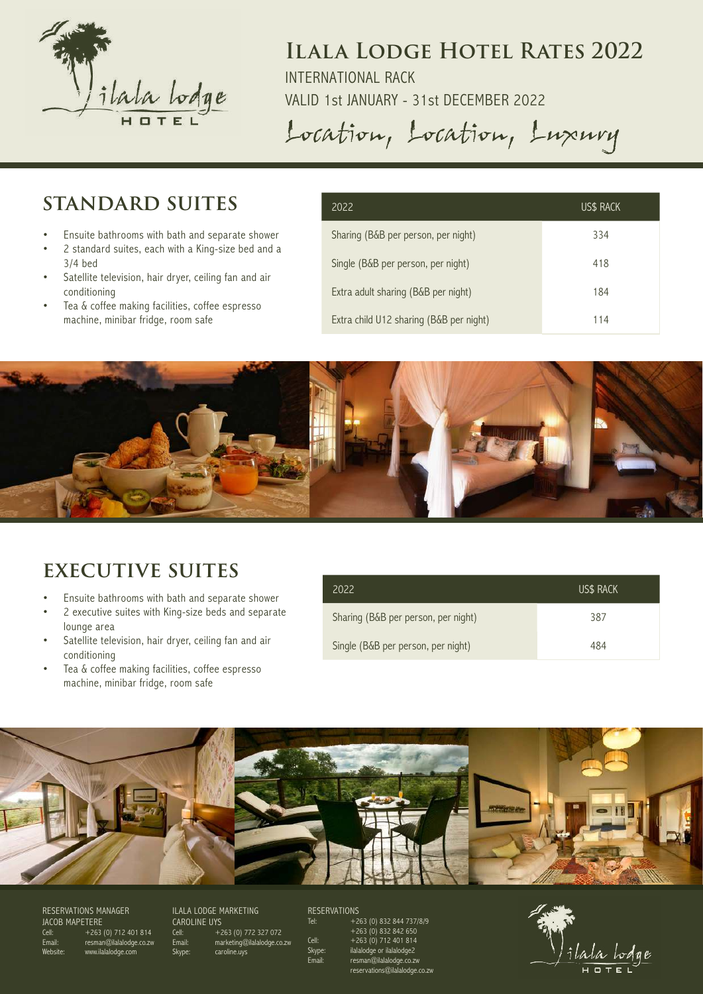

INTERNATIONAL RACK

VALID 1st JANUARY - 31st DECEMBER 2022

Location, Location, Luxury

## **standard suites**

- Ensuite bathrooms with bath and separate shower
- 2 standard suites, each with a King-size bed and a 3/4 bed
- Satellite television, hair dryer, ceiling fan and air conditioning
- Tea & coffee making facilities, coffee espresso machine, minibar fridge, room safe

| 2022                                    | US\$ RACK |
|-----------------------------------------|-----------|
| Sharing (B&B per person, per night)     | 334       |
| Single (B&B per person, per night)      | 418       |
| Extra adult sharing (B&B per night)     | 184       |
| Extra child U12 sharing (B&B per night) | 114       |



## **executive suites**

- Ensuite bathrooms with bath and separate shower
- 2 executive suites with King-size beds and separate lounge area
- Satellite television, hair dryer, ceiling fan and air conditioning
- Tea & coffee making facilities, coffee espresso machine, minibar fridge, room safe

| 2022                                | <b>US\$ RACK</b> |
|-------------------------------------|------------------|
| Sharing (B&B per person, per night) | 387              |
| Single (B&B per person, per night)  | 484              |



RESERVATIONS MANAGER JACOB MAPETERE Cell: +263 (0) 712 401 814 Email: resman@ilalalodge.co.zw Website: www.ilalalodge.com

ILALA LODGE MARKETING CAROLINE UYS Cell: +263 (0) 772 327 072 Email: marketing@ilalalodge.co.zw Skype: caroline.uvs

RESERVATIONS<br>Tel: +2

+263 (0) 832 844 737/8/9  $+263 (0) 832 842 650$ <br>Cell:  $+263 (0) 712 401 814$ Cell:  $+263 (0)$  712 401 814<br>Skype: ilalalodge or ilalalodge2 Skype: ilalalodge or ilalalodge2<br>Email: Fresman@ilalalodge co Email: resman@ilalalodge.co.zw reservations@ilalalodge.co.zw

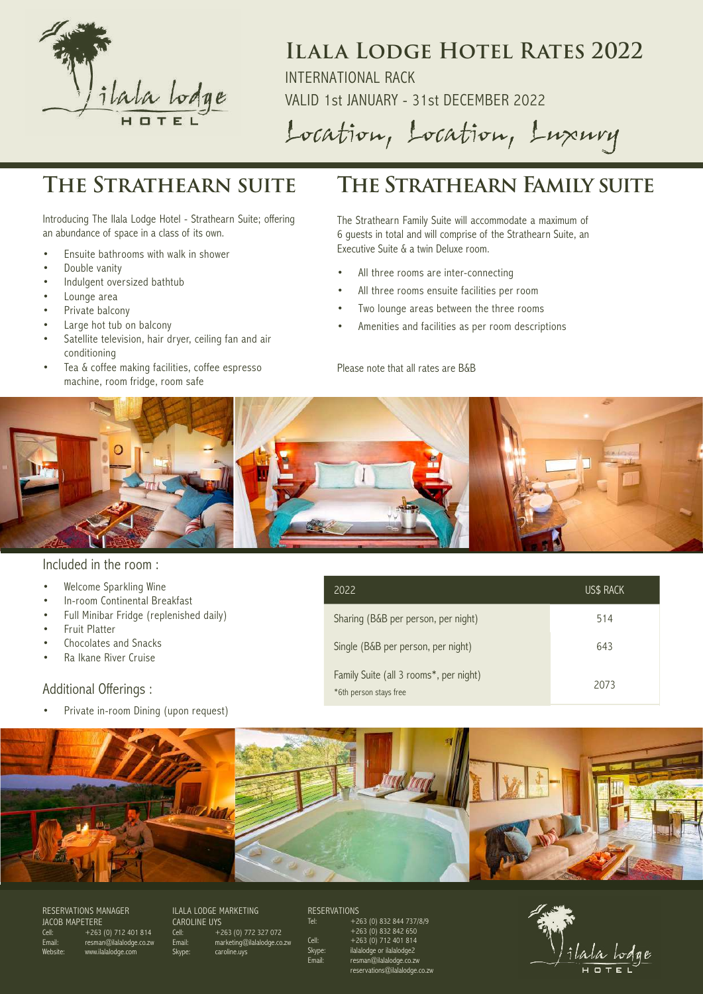

INTERNATIONAL RACK

VALID 1st JANUARY - 31st DECEMBER 2022

Location, Location, Luxury

Introducing The Ilala Lodge Hotel - Strathearn Suite; offering an abundance of space in a class of its own.

- Ensuite bathrooms with walk in shower
- Double vanity
- Indulgent oversized bathtub
- Lounge area
- Private balcony
- Large hot tub on balcony
- Satellite television, hair dryer, ceiling fan and air conditioning
- Tea & coffee making facilities, coffee espresso machine, room fridge, room safe

## **The Strathearn suite The Strathearn Family suite**

The Strathearn Family Suite will accommodate a maximum of 6 guests in total and will comprise of the Strathearn Suite, an Executive Suite & a twin Deluxe room.

- All three rooms are inter-connecting
- All three rooms ensuite facilities per room
- Two lounge areas between the three rooms
- Amenities and facilities as per room descriptions

#### Please note that all rates are B&B



#### Included in the room :

- Welcome Sparkling Wine
- In-room Continental Breakfast
- Full Minibar Fridge (replenished daily)
- Fruit Platter
- Chocolates and Snacks
- Ra Ikane River Cruise

#### Additional Offerings :

Private in-room Dining (upon request)

| 2022                                                             | US\$ RACK |
|------------------------------------------------------------------|-----------|
| Sharing (B&B per person, per night)                              | 514       |
| Single (B&B per person, per night)                               | 643       |
| Family Suite (all 3 rooms*, per night)<br>*6th person stays free | 2073      |



RESERVATIONS MANAGER JACOB MAPETERE Cell: +263 (0) 712 401 814 Email: resman@ilalalodge.co.zw Website: www.ilalalodge.com

ILALA LODGE MARKETING CAROLINE UYS Cell: +263 (0) 772 327 072 Email: marketing@ilalalodge.co.zw Skype: caroline.uvs

RESERVATIONS<br>Tel: +2

+263 (0) 832 844 737/8/9  $+263(0) 832 842 650$ <br>Cell:  $+263(0) 712401814$ Cell:  $+263(0)$  712 401 814<br>Skype: ilalalodge or ilalalodge2 ilalalodge or ilalalodge2 resman@ilalalodge.co.zw reservations@ilalalodge.co.zw

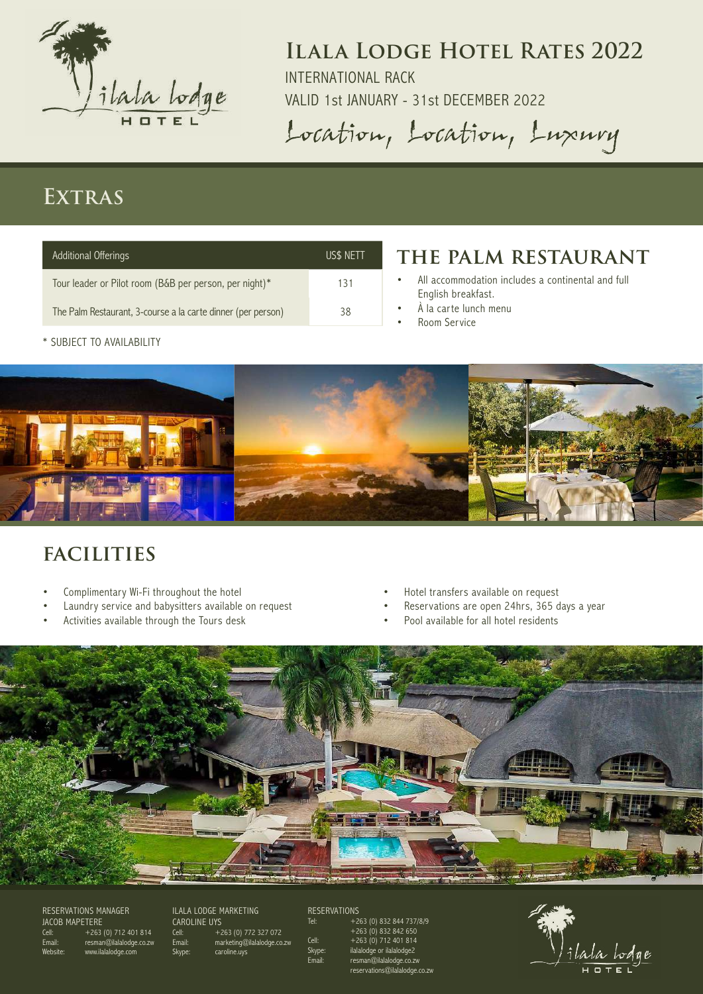

INTERNATIONAL RACK

VALID 1st JANUARY - 31st DECEMBER 2022

Location, Location, Luxury

## **Extras**

| <b>Additional Offerings</b>                                  | US\$ NETT |
|--------------------------------------------------------------|-----------|
| Tour leader or Pilot room (B&B per person, per night)*       | 131       |
| The Palm Restaurant, 3-course a la carte dinner (per person) | 38        |

## **the palm restaurant**

- All accommodation includes a continental and full English breakfast.
- À la carte lunch menu
- Room Service



# **facilities**

\* SUBJECT TO AVAILABILITY

- Complimentary Wi-Fi throughout the hotel
- Laundry service and babysitters available on request
- Activities available through the Tours desk
- Hotel transfers available on request
- Reservations are open 24hrs, 365 days a year
- Pool available for all hotel residents



#### RESERVATIONS MANAGER JACOB MAPETERE Cell:  $+263(0)$  712 401 814 resman@ilalalodge.co.zw ww.ilalalodge.com

ILALA LODGE MARKETING CAROLINE UYS Cell: +263 (0) 772 327 072 Email: marketing@ilalalodge.co.zw Skype: caroline.uys

## RESERVATIONS<br>Tel: +26

+263 (0) 832 844 737/8/9  $+263 (0) 832 842 650$ <br>Cell:  $+263 (0) 712 401 814$ Cell:  $+263 (0)$  712 401 814<br>Skype: ilalalodge or ilalalodge2 Skype: ilalalodge or ilalalodge2<br>Email: resman@ilalalodge.co.z Email: resman@ilalalodge.co.zw reservations@ilalalodge.co.zw

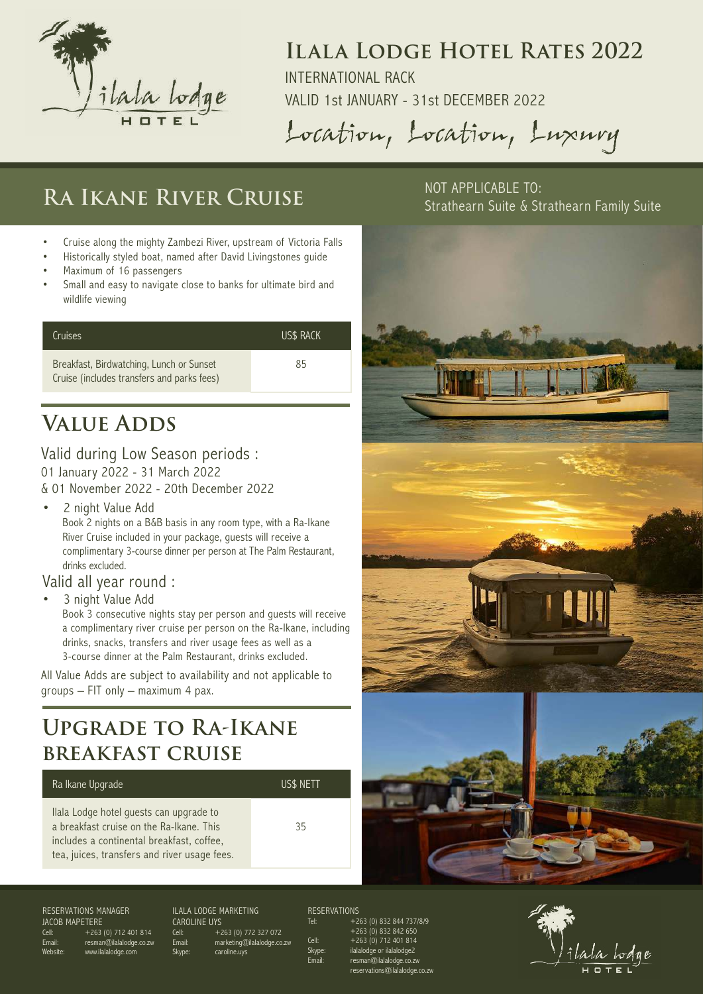

INTERNATIONAL RACK

VALID 1st JANUARY - 31st DECEMBER 2022

Location, Location, Luxury

# RA IKANE RIVER CRUISE<sup>NOT APPLICABLE TO:</sup>

- Cruise along the mighty Zambezi River, upstream of Victoria Falls
- Historically styled boat, named after David Livingstones guide
- Maximum of 16 passengers
- Small and easy to navigate close to banks for ultimate bird and wildlife viewing

| Cruises                                                                                | <b>US\$ RACK</b> |
|----------------------------------------------------------------------------------------|------------------|
| Breakfast, Birdwatching, Lunch or Sunset<br>Cruise (includes transfers and parks fees) | 85               |

# **Value Adds**

#### Valid during Low Season periods : 01 January 2022 - 31 March 2022

& 01 November 2022 - 20th December 2022

2 night Value Add Book 2 nights on a B&B basis in any room type, with a Ra-Ikane River Cruise included in your package, guests will receive a complimentary 3-course dinner per person at The Palm Restaurant, drinks excluded.

### Valid all year round :

3 night Value Add

Book 3 consecutive nights stay per person and guests will receive a complimentary river cruise per person on the Ra-Ikane, including drinks, snacks, transfers and river usage fees as well as a 3-course dinner at the Palm Restaurant, drinks excluded.

All Value Adds are subject to availability and not applicable to groups – FIT only – maximum 4 pax.

# **Upgrade to Ra-Ikane breakfast cruise**

#### Ra Ikane Upgrade US\$ NETT

Ilala Lodge hotel guests can upgrade to a breakfast cruise on the Ra-Ikane. This includes a continental breakfast, coffee, tea, juices, transfers and river usage fees.



Strathearn Suite & Strathearn Family Suite





Website: www.ilalalodge.com

resman@ilalalodge.co.zw CAROLINE UYS

ILALA LODGE MARKETING Cell: +263 (0) 772 327 072 Email: marketing@ilalalodge.co.zw caroline.uvs

### RESERVATIONS<br>Tel: +2

+263 (0) 832 844 737/8/9  $+263(0) 832 842 650$ <br>Cell:  $+263(0) 712401814$ Cell:  $+263(0)$  712 401 814<br>Skype: ilalalodge or ilalalodge2 ilalalodge or ilalalodge2 .<br>@ilalalodge.co.zw reservations@ilalalodge.co.zw

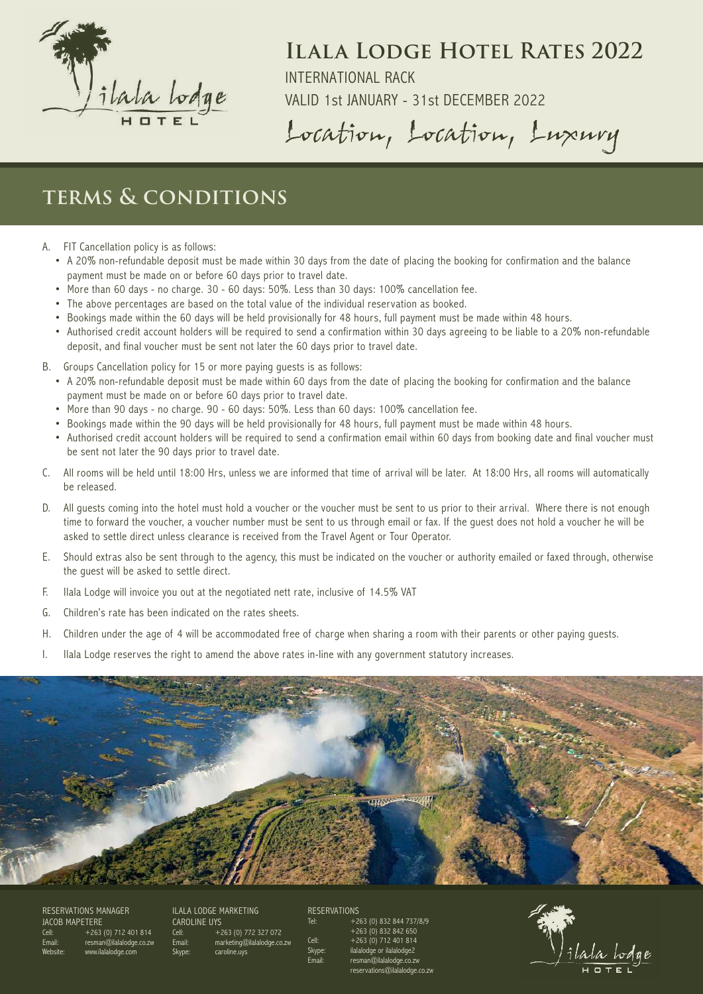

INTERNATIONAL RACK

VALID 1st JANUARY - 31st DECEMBER 2022

Location, Location, Luxury

## **terms & conditions**

- A. FIT Cancellation policy is as follows:
	- A 20% non-refundable deposit must be made within 30 days from the date of placing the booking for confirmation and the balance payment must be made on or before 60 days prior to travel date.
	- More than 60 days no charge. 30 60 days: 50%. Less than 30 days: 100% cancellation fee.
	- The above percentages are based on the total value of the individual reservation as booked.
	- Bookings made within the 60 days will be held provisionally for 48 hours, full payment must be made within 48 hours.
	- Authorised credit account holders will be required to send a confirmation within 30 days agreeing to be liable to a 20% non-refundable deposit, and final voucher must be sent not later the 60 days prior to travel date.
- B. Groups Cancellation policy for 15 or more paying guests is as follows:
	- A 20% non-refundable deposit must be made within 60 days from the date of placing the booking for confirmation and the balance payment must be made on or before 60 days prior to travel date.
	- More than 90 days no charge. 90 60 days: 50%. Less than 60 days: 100% cancellation fee.
	- Bookings made within the 90 days will be held provisionally for 48 hours, full payment must be made within 48 hours.
	- Authorised credit account holders will be required to send a confirmation email within 60 days from booking date and final voucher must be sent not later the 90 days prior to travel date.
- C. All rooms will be held until 18:00 Hrs, unless we are informed that time of arrival will be later. At 18:00 Hrs, all rooms will automatically be released.
- D. All guests coming into the hotel must hold a voucher or the voucher must be sent to us prior to their arrival. Where there is not enough time to forward the voucher, a voucher number must be sent to us through email or fax. If the guest does not hold a voucher he will be asked to settle direct unless clearance is received from the Travel Agent or Tour Operator.
- E. Should extras also be sent through to the agency, this must be indicated on the voucher or authority emailed or faxed through, otherwise the guest will be asked to settle direct.
- F. Ilala Lodge will invoice you out at the negotiated nett rate, inclusive of 14.5% VAT
- G. Children's rate has been indicated on the rates sheets.
- H. Children under the age of 4 will be accommodated free of charge when sharing a room with their parents or other paying guests.
- I. Ilala Lodge reserves the right to amend the above rates in-line with any government statutory increases.



RESERVATIONS MANAGER JACOB MAPETERE Cell: +263 (0) 712 401 814 resman@ilalalodge.co.zw Website: www.ilalalodge.com

ILALA LODGE MARKETING CAROLINE UYS Cell: +263 (0) 772 327 072 Email: marketing@ilalalodge.co.zw caroline.uvs

RESERVATIONS<br>Tel: +2

+263 (0) 832 844 737/8/9 +263 (0) 832 842 650 Cell: +263 (0) 712 401 814 ilalalodge or ilalalodge2 .<br>@ilalalodge.co.zw reservations@ilalalodge.co.zw